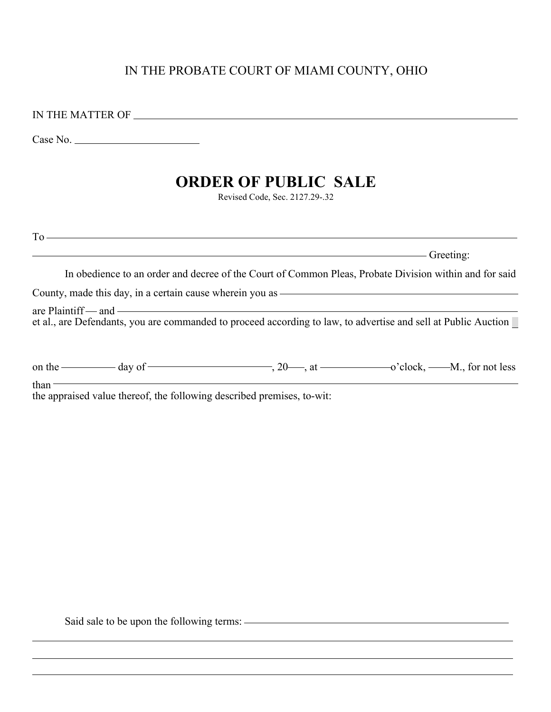## IN THE PROBATE COURT OF MIAMI COUNTY, OHIO

IN THE MATTER OF

Case No.

# **ORDER OF PUBLIC SALE**

Revised Code, Sec. 2127.29-.32

 $To$  —  $\qquad \qquad$   $\qquad$   $\qquad$   $\qquad$   $\qquad$   $\qquad$   $\qquad$   $\qquad$   $\qquad$   $\qquad$   $\qquad$   $\qquad$   $\qquad$   $\qquad$   $\qquad$   $\qquad$   $\qquad$   $\qquad$   $\qquad$   $\qquad$   $\qquad$   $\qquad$   $\qquad$   $\qquad$   $\qquad$   $\qquad$   $\qquad$   $\qquad$   $\qquad$   $\qquad$   $\qquad$   $\qquad$   $\qquad$   $\qquad$   $\qquad$   $\$ 

Greeting:

In obedience to an order and decree of the Court of Common Pleas, Probate Division within and for said

County, made this day, in a certain cause wherein you as

 $\alpha$  are Plaintiff — and —  $\alpha$ et al., are Defendants, you are commanded to proceed according to law, to advertise and sell at Public Auction

| on the | $\frac{1}{\sqrt{1-\frac{1}{2}}}$ day of $\frac{1}{\sqrt{1-\frac{1}{2}}}$ |  | $\sim$ clock, $\sim$ M., for not less |
|--------|--------------------------------------------------------------------------|--|---------------------------------------|
| than   | the approved value thereof the following described premises to-wit       |  |                                       |

the appraised value thereof, the following described premises, to-wit:

Said sale to be upon the following terms:  $\overline{\phantom{a}}$